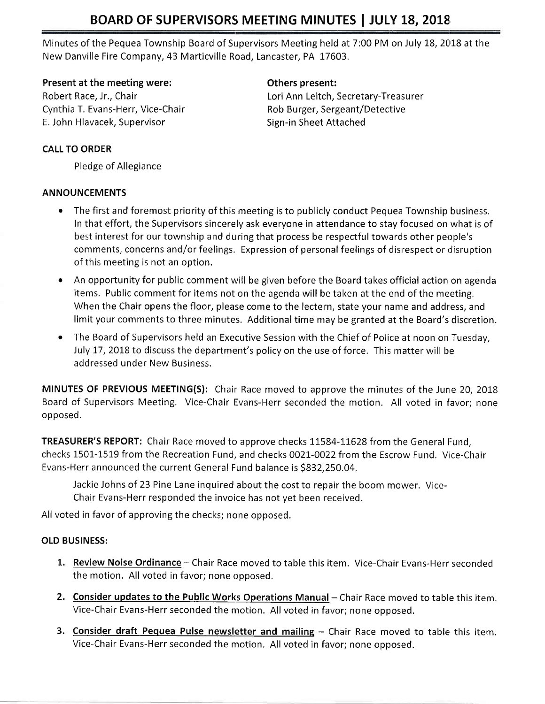# BOARD OF SUPERVISORS MEETING MINUTES | JULY 18, 2018

Minutes of the Pequea Township Board of Supervisors Meeting held at 7:00 PM on July 18, 2018 at the New Danville Fire Company, 43 Marticville Road, Lancaster, PA 17603.

#### Present at the meeting were: The meeting of the speaker of the others present:

Cynthia T. Evans-Herr, Vice-Chair **Rob Burger, Sergeant/Detective** E. John Hlavacek, Supervisor Sign-in Sheet Attached

Robert Race, Jr., Chair Lori Ann Leitch, Secretary-Treasurer

#### CALL TO ORDER

Pledge of Allegiance

#### ANNOUNCEMENTS

- . The first and foremost priority of this meeting is to publicly conduct Pequea Township business. In that effort, the Supervisors sincerely ask everyone in attendance to stay focused on what is of best interest for our township and durring that process be respectful towards other people's comments, concerns and/or feelings. Expression of personal feelings of disrespect or disruption of this meeting is not an option.
- An opportunity for public comment will be given before the Board takes official action on agenda items, Public comment for items not on the agenda will be taken at the end of the meeting. When the Chair opens the floor, please come to the lectern, state your name and address, and limit your comments to three minutes. Additional time may be granted at the Board's discretion.
- The Board of Supervisors held an Executive Session with the Chief of Police at noon on Tuesday, July 17, 2018 to discuss the department's policy on the use of force. This matter will be addressed under New Business.

MINUTES OF PREVIOUS MEETING(S): Chair Race moved to approve the minutes of the June 20, 2018 Board of Supervisors Meeting. Vice-Chair Evans-Herr seconded the motion. All voted in favor; none opposed.

TREASURER'S REPORT: Chair Race moved to approve checks 11584-11628 from the General Fund, checks 1501-1519 from the Recreation Fund, and checks 0021-0022 from the Escrow Fund. Vice-Chair Evans-Herr announced the current General Fund balance is 5832,250.04,

Jackie Johns of 23 Pine Lane inquired about the cost to repair the boom mower, Vice-Chair Evans-Herr responded the invoice has not yet been received.

All voted in favor of approving the checks; none opposed.

#### OLD BUSINESS:

- 1. Review Noise Ordinance Chair Race moved to table this item. Vice-Chair Evans-Herr seconded the motion, All voted in favor; none opposed.
- 2. Consider updates to the Public Works Operations Manual Chair Race moved to table this item. Vice-Chair Evans-Herr seconded the nnotion. All voted in favor; none opposed.
- 3. Consider draft Pequea Pulse newsletter and mailing Chair Race moved to table this item. Vice-Chair Evans-Herr seconded the nnotion. All voted in favor; none opposed.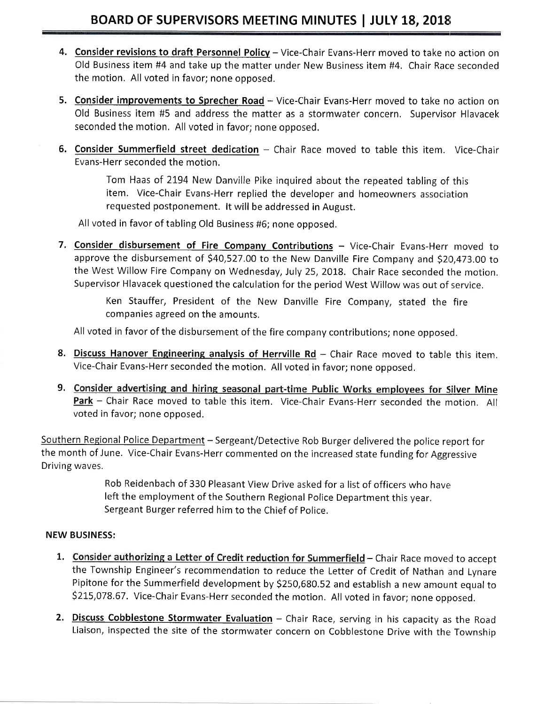- 4. Consider revisions to draft Personnel Policy Vice-Chair Evans-Herr moved to take no action on Old Business item #4 and take up the matter under New Business item #4. Chair Race seconded the motion, All voted in favor; none opposed.
- 5. Consider improvements to Sprecher Road Vice-Chair Evans-Herr moved to take no action on Old Business item #5 and address the matter as a stormwater concern, Supervisor Hlavacek seconded the motion. All voted in favor; none opposed.
- 6. Consider Summerfield street dedication Chair Race moved to table this item. Vice-Chair Evans-Herr seconded the motion,

Tom Haas of 2194 New Danville Pike inquired about the repeated tabling of this item. Vice-Chair Evans-Herr replied the developer and homeowners association requested postponement. lt will be addressed in August.

All voted in favor of tabling Old Business #6; none opposed.

7. Consider disbursement of Fire Company Contributions - Vice-Chair Evans-Herr moved to approve the disbursement of \$40,527.00 to the New Danville Fire Company and \$20,473.00 to the West Willow Fire Company on Wednesday, July 25, 2018. Chair Race seconded the motion. Supervisor Hlavacek questioned the calculation for the period West Willow was out of service.

> Ken Stauffer, President of the New Danville Fire Company, stated the fire companies agreed on the amounts.

All voted in favor of the disbursement of the fire company contributions; none opposed.

- 8. Discuss Hanover Engineering analysis of Herrville Rd Chair Race moved to table this item. Vice-Chair Evans-Herr seconded the motion. All voted in favor; none opposed.
- 9. Consider advertising and hiring seasonal part-time Public Works employees for Silver Mine Park - Chair Race moved to table this item. Vice-Chair Evans-Herr seconded the motion. All voted in favor; none opposed.

Southern Regional Police Department - Sergeant/Detective Rob Burger delivered the police report for the month of June. Vice-Chair Evans-Herr commented on the increased state funding for Aggressive Driving waves.

> Rob Reidenbach of 330 Pleasant View Drive asked for a list of officers who have left the employment of the Southern Regional Police Department this year. Sergeant Burger referred him to the Chief of police.

#### NEW BUSINESS:

- 1. Consider authorizing a Letter of Credit reduction for Summerfield Chair Race moved to accept the Township Engineer's recommendation to reduce the Letter of Credit of Nathan and lynare Pipitone for the Summerfield development by 5250,680,52 and establish a new amount equal to 5215,078.67. Vice-Chair Evans-Herr seconded the motion. All voted in favor; none opposed.
- 2. Discuss Cobblestone Stormwater Evaluation Chair Race, serving in his capacity as the Road Liaison, inspected the site of the stormwater concern on Cobblestone Drive with the Township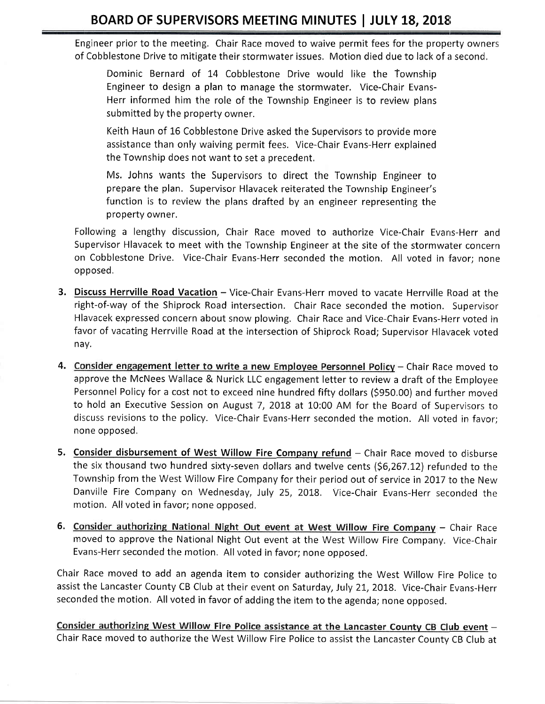Engineer prior to the meeting. Chair Race moved to waive permit fees for the property owners of Cobblestone Drive to mitigate their stormwater issues, Motion died due to lack of a seconc,

Dominic Bernard of 14 Cobblestone Drive would like the Township Engineer to design a plan to manage the stormwater. Vice-Chair Evans-Herr informed him the role of the Township Engineer is to review plans submitted by the property owner.

Keith Haun of 16 Cobblestone Drive asked the Supervisors to provide more assistance than only waiving permit fees. Vice-Chair Evans-Herr explained the Township does not want to set a precedent,

Ms. Johns wants the Supervisors to direct the Township Engineer to prepare the plan. Supervisor Hlavacek reiterated the Township Engineer's function is to review the plans drafted by an engineer representing the property owner.

Following a lengthy discussion, Chair Race moved to authorize Vice-Chair Evans-Herr and Supervisor Hlavacek to meet with the Township Engineer at the site of the stormwater concern on Cobblestone Drive. Vice-Chair Evans-Herr seconded the motion. All voted in favor; none opposed,

- 3. Discuss Herrville Road Vacation Vice-Chair Evans-Herr moved to vacate Herrville Road at the right-of-way of the Shiprock Road intersection. Chair Race seconded the motion, Supervisor Hlavacek expressed concern about snow plowing. Chair Race and Vice-Chair Evans-Herr voted in favor of vacating Herrville Road at the intersection of Shiprock Road; Supervisor Hlavacek voted nay,
- 4. Consider engagement letter to write a new Employee Personnel Policy Chair Race moved to approve the McNees Wallace & Nurick LLC engagement letter to review a draft of the Employee Personnel Policy for a cost not to exceed nine hundred fifty dollars (\$950.00) and further moved to hold an Executive Session on August 7, 2018 at 10:00 AM for the Board of Supervisors to discuss revisions to the policy. Vice-Chair Evans-Herr seconded the motion. All voted in favor; none opposed,
- 5. Consider disbursement of West Willow Fire Company refund Chair Race moved to disburse the six thousand two hundred sixty-seven dollars and twelve cents (\$6,267.12) refunded to the Township from the West Willow Fire Company for their period out of service in 2OI7 to the New Danville Fire Company on Wednesday, July 25, 2018. Vice-Chair Evans-Herr seconded the motion. All voted in favor; none opposed.
- 6. Consider authorizing National Night Out event at West Willow Fire Company Chair Race moved to approve the National Night Out event at the West Willow Fire Company. Vice-Chair Evans-Herr seconded the motion, All voted in favor; none opposed.

Chair Race moved to add an agenda item to consider authorizing the West Willow Fire police ro assist the Lancaster County CB Club at their event on Saturday, July 21, 2018. Vice-Chair Evans-Herr seconded the motion, All voted in favor of adding the item to the agenda; none opposed.

Consider authorizing West Willow Fire Police assistance at the Lancaster County CB Club event -Chair Race moved to authorize the West Willow Fire Police to assist the Lancaster County CB Club at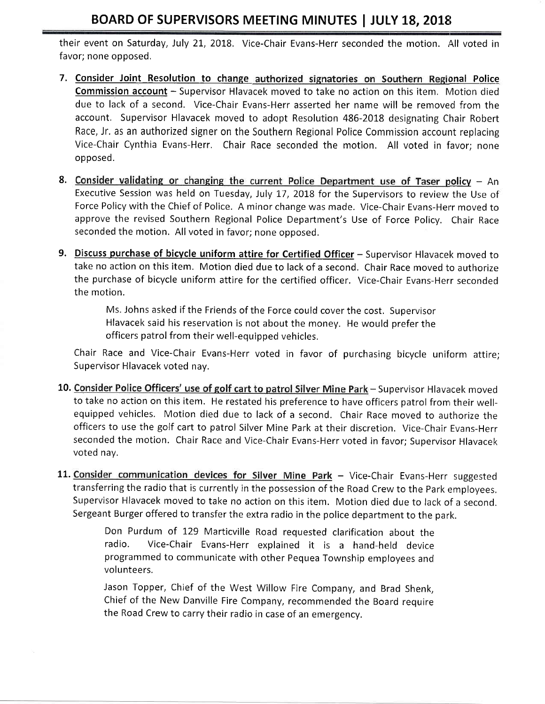## BOARD OF SUPERVISORS MEETING MINUTES | JULY 18, 2018

their event on Saturday, July 21, 2018. Vice-Chair Evans-Herr seconded the motion. All voted in favor; none opposed,

- 7. Consider Joint Resolution to change authorized signatories on Southern Regional Police Commission account - Supervisor Hlavacek moved to take no action on this item. Motion died due to lack of a second. Vice-Chair Evans-Herr asserted her name will be removed from the account, Supervisor Hlavacek moved to adopt Resolution 486-2018 designating Chair Robert Race, Jr. as an authorized signer on the Southern Regional Police Commission account replacing Vice-Chair Cynthia Evans-Herr. Chair Race seconded the motion. All voted in favor; none opposed.
- 8. Consider validating or changing the current Police Department use of Taser policy An Executive Session was held on Tuesday, July 17,20IB for the Supervisors to review the Use of Force Policy with the Chief of Police. A minor change was made. Vice-Chair Evans-Herr moved to approve the revised Southern Regional Police Department's Use of Force Policy, Chair Race seconded the motion. All voted in favor; none opposed.
- 9. Discuss purchase of bicycle uniform attire for Certified Officer Supervisor Hlavacek moved to take no action on this item. Motion died due to lack of a second. Chair Race moved to authorize the purchase of bicycle uniform attire for the certified officer. Vice-Chair Evans-Herr seconded the motion.

Ms. iohns asked if the Friends of the Force could coverthe cost. Supervisor Hlavacek said his reservation is not about the money. He would prefer the officers patrol from their well-equipped vehicles,

Chair Race and Vice-Chair Evans-Herr voted in favor of purchasing bicycle uniform attire; Supervisor Hlavacek voted nay.

- 10. Consider Police Officers' use of golf cart to patrol Silver Mine Park Supervisor Hlavacek moved to take no action on this item. He restated his preference to have officers patrol from their wellequipped vehicles, Motion died due to lack of a second, Chair Race moved to authorize the officers to use the golf cart to patrol Silver Mine Park at their discretion, Vice-Chair Evans-Herr seconded the motion. Chair Race and Vice-Chair Evans-Herr voted in favor; Supervisor Hlavacek voted nay.
- 11. Consider communication devices for Silver Mine Park Vice-Chair Evans-Herr suggested transferring the radio that is currently in the possession of the Road Crew to the Park employees, Supervisor Hlavacek moved to take no action on this item. Motion died due to lack of a second, Sergeant Burger offered to transfer the extra radio in the police department to the park.

Don Purdum of 129 Marticville Road requested clarification about the radio. Vice-Chair Evans-Herr explained it is a hand-held device programmed to communicate with other Pequea Township employees and volunteers.

Jason Topper, chief of the west willow Fire company, and Brad shenk, Chief of the New Danville Fire Company, recommended the Board require the Road Crew to carry their radio in case of an emergency.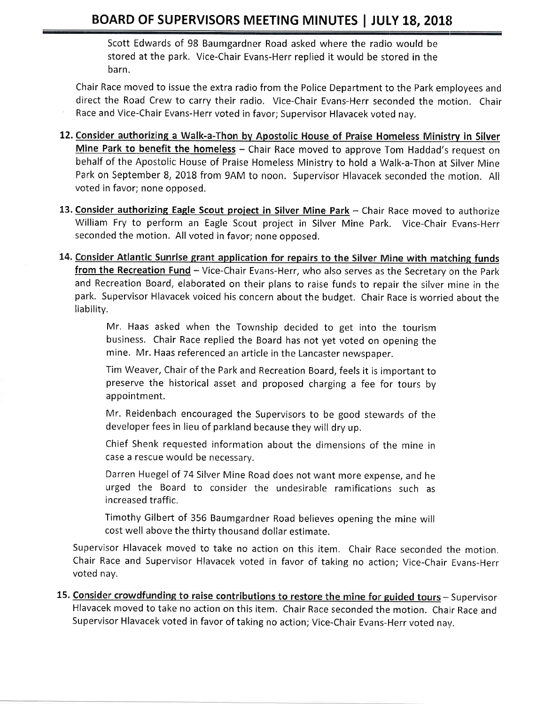Scott Edwards of 98 Baumgardner Road asked where the radio would be stored at the park. Vice-Chair Evans-Herr replied it would be stored in the barn.

Chair Race moved to issue the extra radio from the Police Department to the Park employees and direct the Road Crew to carry their radio. Vice-Chair Evans-Herr seconded the motion. Chair Race and Vice-Chair Evans-Herr voted in favor; Supervisor Hlavacek voted nay.

- 12. Consider authorizing a Walk-a-Thon by Apostolic House of Praise Homeless Ministry in Silver Mine Park to benefit the homeless - Chair Race moved to approve Tom Haddad's request on behalf of the Apostolic House of Praise Homeless Ministry to hold a Walk-a-Thon at Silver Mine Park on September 8, 2018 from 9AM to noon. Supervisor Hlavacek seconded the motion. All voted in favor; none opposed.
- 13. Consider authorizing Eagle Scout project in Silver Mine Park Chair Race moved to authorize William Fry to perform an Eagle Scout project in Silver Mine Park. Vice-Chair Evans-Herr seconded the motion. All voted in favor; none opposed,
- 14. Consider Atlantic Sunrise grant application for repairs to the Silver Mine with matching funds from the Recreation Fund - Vice-Chair Evans-Herr, who also serves as the Secretary on the Park and Recreation Board, elaborated on their plans to raise funds to repair the silver mine in the park. Supervisor Hlavacek voiced his concern about the budget. Chair Race is worried about the liability,

Mr, Haas asked when the Township decided to get into the tourism business. Chair Race replied the Board has not yet voted on opening the mine. Mr. Haas referenced an article in the Lancaster newspaper.

Tim Weaver, Chair of the Park and Recreation Board, feels it is important to preserve the historical asset and proposed charging a fee for tours by appointment.

Mr. Reidenbach encouraged the Supervisors to be good stewards of the developer fees in lieu of parkland because they will dry up.

Chief Shenk requested information about the dimensions of the mine in case a rescue would be necessary.

Darren Huegel of 74 Silver Mine Road does not want more expense, and he urged the Board to consider the undesirable ramifications such as increased traffic.

Timothy Gilbert of 356 Baumgardner Road believes opening the mine will cost well above the thirty thousand dollar estimate.

Supervisor Hlavacek moved to take no action on this item. Chair Race seconded the motion. Chair Race and Supervisor Hlavacek voted in favor of taking no action; Vice-Chair Evans-Herr voted nay,

15. Consider crowdfunding to raise contributions to restore the mine for guided tours - Supervisor Hlavacek moved to take no action on this item. Chair Race seconded the motion. Chair Race and Supervisor Hlavacek voted in favor of taking no action; Vice-Chair Evans-Herr voted nav.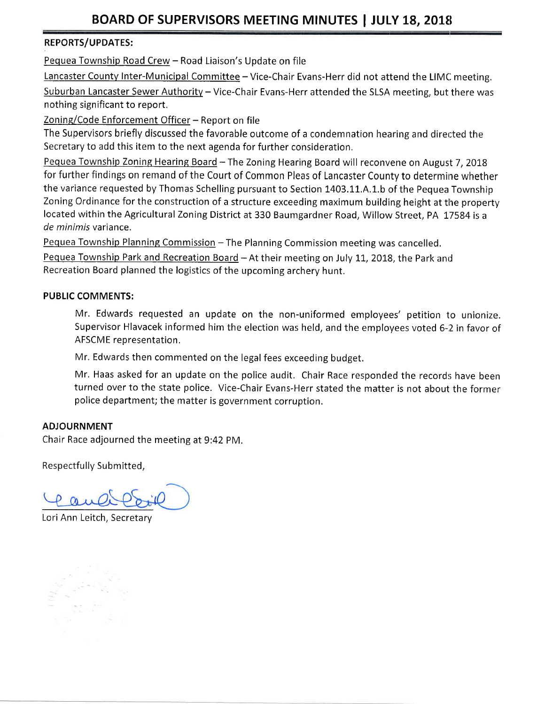#### REPORTS/UPDATES:

Pequea Township Road Crew - Road Liaison's Update on file

Lancaster County Inter-Municipal Committee - Vice-Chair Evans-Herr did not attend the LIMC meeting. Suburban Lancaster Sewer Authority - Vice-Chair Evans-Herr attended the SLSA meeting, but there was nothing significant to report.

Zoning/Code Enforcement Officer - Report on file

The Supervisors briefly discussed the favorable outcome of a condemnation hearing and directed the Secretary to add this item to the next agenda for further consideration,

Pequea Township Zoning Hearing Board - The Zoning Hearing Board will reconvene on August 7, 2018 for further findings on remand of the Court of Common Pleas of Lancaster County to determine whether the variance requested by Thomas Schelling pursuant to Section 1403.11.A.1.b of the Pequea Township Zoning Ordinance for the construction of a structure exceeding maximum building height at the property located within the Agricultural Zoning District at 330 Baumgardner Road, Willow Street, PA 17584 is <sup>a</sup> de minimis variance.

Pequea Township Planning Commission - The Planning Commission meeting was cancelled.

Pequea Township Park and Recreation Board - At their meeting on July 11, 2018, the Park and Recreation Board planned the logistics of the upcoming archery hunt.

#### PUBLIC COMMENTS:

Mr. Edwards requested an update on the non-uniformed employees'petition to unionize. Supervisor Hlavacek informed him the election was held, and the employees voted 6-2 in favor of AFSCME representation.

Mr, Edwards then commented on the legal fees exceeding budget.

Mr, Haas asked for an update on the police audit. Chair Race responded the records have been turned over to the state police. Vice-Chair Evans-Herr stated the matter is not about the former police department; the matter is government corruption.

### ADJOURNMENT

Chair Race adjourned the meeting at 9:42 PM.

Respectfully Submitted,

Pauli

Lori Ann Leitch, Secretary